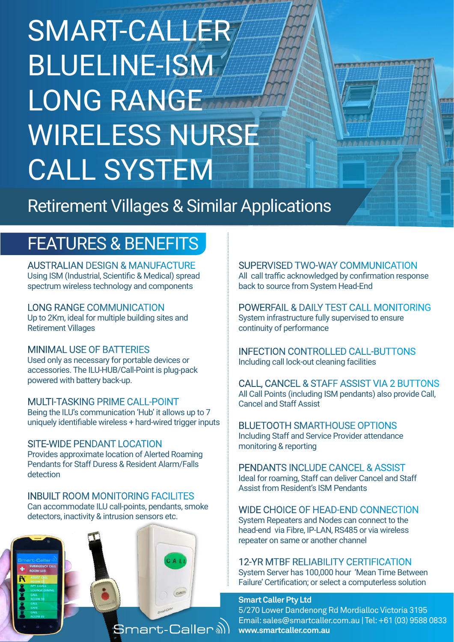# SMART-CALLER BLUELINE-ISM LONG RANGE WIRELESS NURSE CALL SYSTEM

Retirement Villages & Similar Applications

### FEATURES & BENEFITS

AUSTRALIAN DESIGN & MANUFACTURE Using ISM (Industrial, Scientific & Medical) spread spectrum wireless technology and components

LONG RANGE COMMUNICATION Up to 2Km, ideal for multiple building sites and Retirement Villages

#### MINIMAL USE OF BATTERIES

Used only as necessary for portable devices or accessories. The ILU-HUB/Call-Point is plug-pack powered with battery back-up.

MULTI-TASKING PRIME CALL-POINT Being the ILU's communication 'Hub' it allows up to 7 uniquely identifiable wireless + hard-wired trigger inputs

SITE-WIDE PENDANT LOCATION Provides approximate location of Alerted Roaming Pendants for Staff Duress & Resident Alarm/Falls detection

INBUILT ROOM MONITORING FACILITES Can accommodate ILU call-points, pendants, smoke detectors, inactivity & intrusion sensors etc.



RVISED TWO-WAY COMMUNICATION<br>traffic acknowledged by confirmation respons SUPERVISED TWO-WAY COMMUNICATION All call traffic acknowledged by confirmation response back to source from System Head-End

**The American School of America** 

back to source from System Head-End<br>POWERFAIL & DAILY TEST CALL MONITORING WIRELESS System infrastructure fully supervised to ensure continuity of performance

INFECTION CONTROLLED CALL-BUTTONS Including call lock-out cleaning facilities

CALL, CANCEL & STAFF ASSIST VIA 2 BUTTONS All Call Points (including ISM pendants) also provide Call, Cancel and Staff Assist

BLUETOOTH SMARTHOUSE OPTIONS Including Staff and Service Provider attendance monitoring & reporting

PENDANTS INCLUDE CANCEL & ASSIST Ideal for roaming, Staff can deliver Cancel and Staff Assist from Resident's ISM Pendants

WIDE CHOICE OF HEAD-END CONNECTION System Repeaters and Nodes can connect to the head-end via Fibre, IP-LAN, RS485 or via wireless repeater on same or another channel

12-YR MTBF RELIABILITY CERTIFICATION System Server has 100,000 hour 'Mean Time Between Failure' Certification; or select a computerless solution

#### **Smart Caller Pty Ltd**

5/270 Lower Dandenong Rd Mordialloc Victoria 3195 Email: sales@smartcaller.com.au | Tel: +61 (03) 9588 0833 **www.smartcaller.com.au**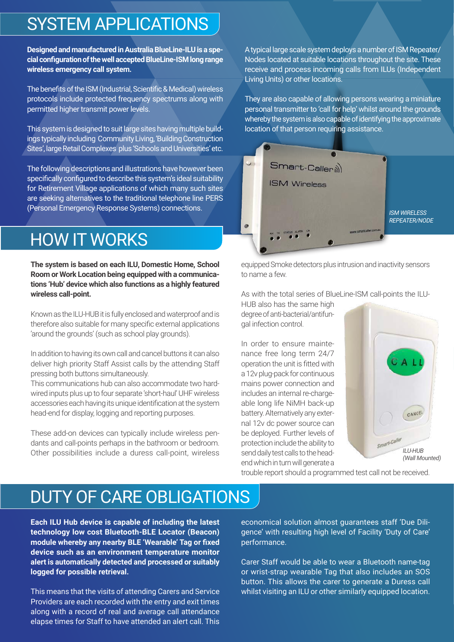### SYSTEM APPLICATIONS

**Designed and manufactured in Australia BlueLine-ILU is a special configuration of the well accepted BlueLine-ISM long range wireless emergency call system.** 

The benefits of the ISM (Industrial, Scientific & Medical) wireless protocols include protected frequency spectrums along with permitted higher transmit power levels.

This system is designed to suit large sites having multiple buildings typically including Community Living, 'Building Construction Sites', large Retail Complexes plus 'Schools and Universities' etc.

The following descriptions and illustrations have however been specifically configured to describe this system's ideal suitability for Retirement Village applications of which many such sites are seeking alternatives to the traditional telephone line PERS (Personal Emergency Response Systems) connections.

# HOW IT WORKS

**The system is based on each ILU, Domestic Home, School Room or Work Location being equipped with a communications 'Hub' device which also functions as a highly featured wireless call-point.**

Known as the ILU-HUB it is fully enclosed and waterproof and is therefore also suitable for many specific external applications 'around the grounds' (such as school play grounds).

In addition to having its own call and cancel buttons it can also deliver high priority Staff Assist calls by the attending Staff pressing both buttons simultaneously.

This communications hub can also accommodate two hardwired inputs plus up to four separate 'short-haul' UHF wireless accessories each having its unique identification at the system head-end for display, logging and reporting purposes.

These add-on devices can typically include wireless pendants and call-points perhaps in the bathroom or bedroom. Other possibilities include a duress call-point, wireless

A typical large scale system deploys a number of ISM Repeater/ Nodes located at suitable locations throughout the site. These receive and process incoming calls from ILUs (Independent Living Units) or other locations.

They are also capable of allowing persons wearing a miniature personal transmitter to 'call for help' whilst around the grounds whereby the system is also capable of identifying the approximate location of that person requiring assistance.



equipped Smoke detectors plus intrusion and inactivity sensors to name a few.

As with the total series of BlueLine-ISM call-points the ILU-

HUB also has the same high degree of anti-bacterial/antifungal infection control.

In order to ensure maintenance free long term 24/7 operation the unit is fitted with a 12v plug-pack for continuous mains power connection and includes an internal re-chargeable long life NiMH back-up battery. Alternatively any external 12v dc power source can be deployed. Further levels of protection include the ability to send daily test calls to the headend which in turn will generate a



trouble report should a programmed test call not be received.

# DUTY OF CARE OBLIGATIONS

**Each ILU Hub device is capable of including the latest technology low cost Bluetooth-BLE Locator (Beacon) module whereby any nearby BLE 'Wearable' Tag or fixed device such as an environment temperature monitor alert is automatically detected and processed or suitably logged for possible retrieval.**

This means that the visits of attending Carers and Service Providers are each recorded with the entry and exit times along with a record of real and average call attendance elapse times for Staff to have attended an alert call. This

economical solution almost guarantees staff 'Due Diligence' with resulting high level of Facility 'Duty of Care' performance.

Carer Staff would be able to wear a Bluetooth name-tag or wrist-strap wearable Tag that also includes an SOS button. This allows the carer to generate a Duress call whilst visiting an ILU or other similarly equipped location.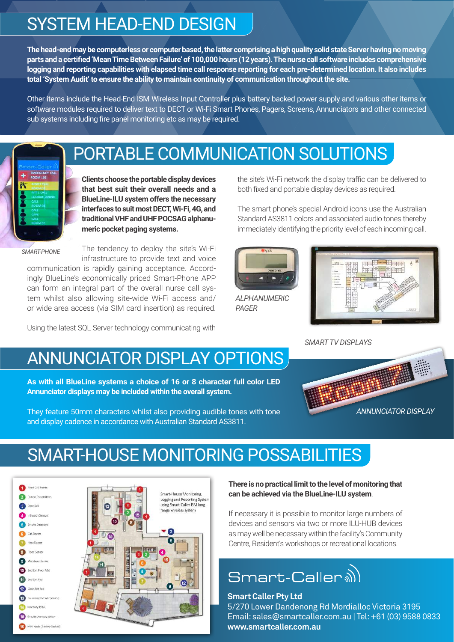# SYSTEM HEAD-END DESIGN

**The head-end may be computerless or computer based, the latter comprising a high quality solid state Server having no moving parts and a certified 'Mean Time Between Failure' of 100,000 hours (12 years). The nurse call software includes comprehensive logging and reporting capabilities with elapsed time call response reporting for each pre-determined location. It also includes total 'System Audit' to ensure the ability to maintain continuity of communication throughout the site.**

Other items include the Head-End ISM Wireless Input Controller plus battery backed power supply and various other items or software modules required to deliver text to DECT or Wi-Fi Smart Phones, Pagers, Screens, Annunciators and other connected sub systems including fire panel monitoring etc as may be required.



### PORTABLE COMMUNICATION SOLUTIONS

**Clients choose the portable display devices that best suit their overall needs and a BlueLine-ILU system offers the necessary interfaces to suit most DECT, Wi-Fi, 4G, and traditional VHF and UHF POCSAG alphanumeric pocket paging systems.**

*SMART-PHONE*

The tendency to deploy the site's Wi-Fi infrastructure to provide text and voice

communication is rapidly gaining acceptance. Accordingly BlueLine's economically priced Smart-Phone APP can form an integral part of the overall nurse call system whilst also allowing site-wide Wi-Fi access and/ or wide area access (via SIM card insertion) as required.

Using the latest SQL Server technology communicating with

the site's Wi-Fi network the display traffic can be delivered to both fixed and portable display devices as required.

The smart-phone's special Android icons use the Australian Standard AS3811 colors and associated audio tones thereby immediately identifying the priority level of each incoming call.



*ALPHANUMERIC PAGER*



*SMART TV DISPLAYS*

# ANNUNCIATOR DISPLAY OPTIONS

**As with all BlueLine systems a choice of 16 or 8 character full color LED Annunciator displays may be included within the overall system.** 

They feature 50mm characters whilst also providing audible tones with tone and display cadence in accordance with Australian Standard AS3811.



### SMART-HOUSE MONITORING POSSABILITIES



**There is no practical limit to the level of monitoring that can be achieved via the BlueLine-ILU system**.

If necessary it is possible to monitor large numbers of devices and sensors via two or more ILU-HUB devices as may well be necessary within the facility's Community Centre, Resident's workshops or recreational locations.

# Smart-Caller a)

#### **Smart Caller Pty Ltd**

5/270 Lower Dandenong Rd Mordialloc Victoria 3195 Email: sales@smartcaller.com.au | Tel: +61 (03) 9588 0833 **www.smartcaller.com.au**